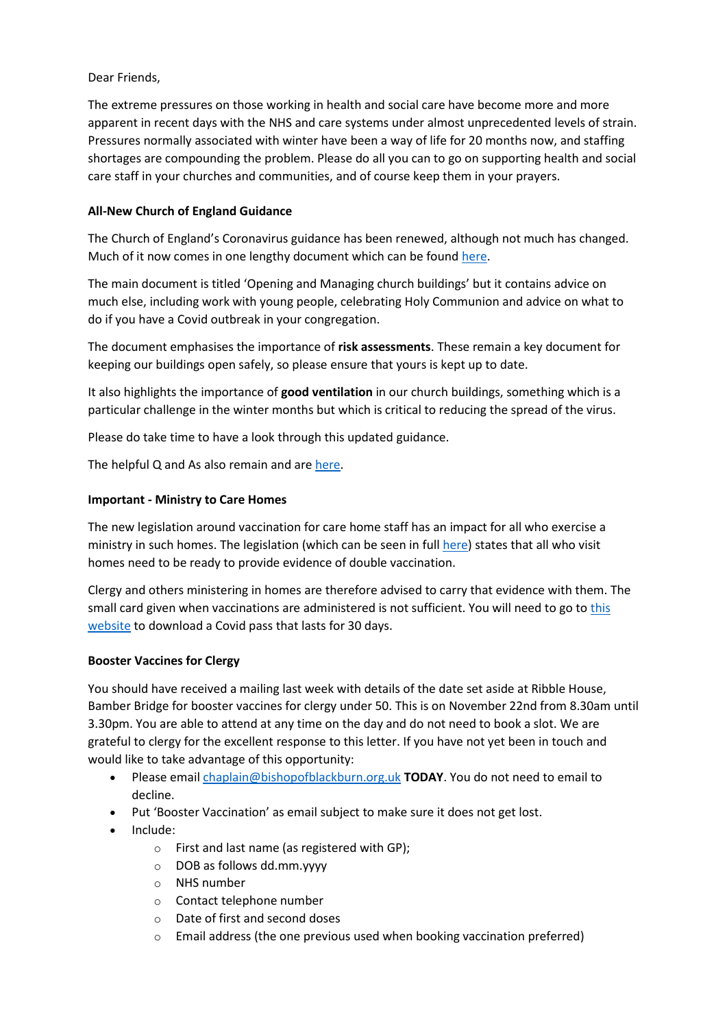# Dear Friends,

The extreme pressures on those working in health and social care have become more and more apparent in recent days with the NHS and care systems under almost unprecedented levels of strain. Pressures normally associated with winter have been a way of life for 20 months now, and staffing shortages are compounding the problem. Please do all you can to go on supporting health and social care staff in your churches and communities, and of course keep them in your prayers.

# **All-New Church of England Guidance**

The Church of England's Coronavirus guidance has been renewed, although not much has changed. Much of it now comes in one lengthy document which can be found [here.](https://www.churchofengland.org/sites/default/files/2021-11/COVID%2019%20Guidance%20from%20the%2019th%20July%202021%20v2.1.pdf)

The main document is titled 'Opening and Managing church buildings' but it contains advice on much else, including work with young people, celebrating Holy Communion and advice on what to do if you have a Covid outbreak in your congregation.

The document emphasises the importance of **risk assessments**. These remain a key document for keeping our buildings open safely, so please ensure that yours is kept up to date.

It also highlights the importance of **good ventilation** in our church buildings, something which is a particular challenge in the winter months but which is critical to reducing the spread of the virus.

Please do take time to have a look through this updated guidance.

The helpful Q and As also remain and are [here.](https://www.churchofengland.org/resources/coronavirus-covid-19-guidance)

## **Important - Ministry to Care Homes**

The new legislation around vaccination for care home staff has an impact for all who exercise a ministry in such homes. The legislation (which can be seen in ful[l here\)](https://www.gov.uk/government/consultations/making-vaccination-a-condition-of-deployment-in-older-adult-care-homes/outcome/making-vaccination-a-condition-of-deployment-in-care-homes-government-response) states that all who visit homes need to be ready to provide evidence of double vaccination.

Clergy and others ministering in homes are therefore advised to carry that evidence with them. The small card given when vaccinations are administered is not sufficient. You will need to go t[o this](https://www.nhs.uk/conditions/coronavirus-covid-19/get-digital-covid-pass/)  [website](https://www.nhs.uk/conditions/coronavirus-covid-19/get-digital-covid-pass/) to download a Covid pass that lasts for 30 days.

### **Booster Vaccines for Clergy**

You should have received a mailing last week with details of the date set aside at Ribble House, Bamber Bridge for booster vaccines for clergy under 50. This is on November 22nd from 8.30am until 3.30pm. You are able to attend at any time on the day and do not need to book a slot. We are grateful to clergy for the excellent response to this letter. If you have not yet been in touch and would like to take advantage of this opportunity:

- Please email [chaplain@bishopofblackburn.org.uk](mailto:chaplain@bishopofblackburn.org.uk) **TODAY**. You do not need to email to decline.
- Put 'Booster Vaccination' as email subject to make sure it does not get lost.
- Include:
	- o First and last name (as registered with GP);
	- o DOB as follows dd.mm.yyyy
	- o NHS number
	- o Contact telephone number
	- o Date of first and second doses
	- $\circ$  Email address (the one previous used when booking vaccination preferred)